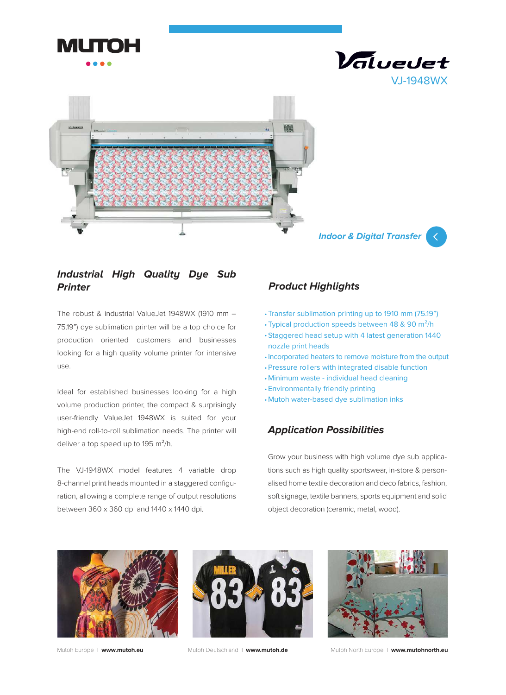





 **Indoor & Digital Transfer**



## **Industrial High Quality Dye Sub Printer**

The robust & industrial ValueJet 1948WX (1910 mm – 75.19") dye sublimation printer will be a top choice for production oriented customers and businesses looking for a high quality volume printer for intensive use.

Ideal for established businesses looking for a high volume production printer, the compact & surprisingly user-friendly ValueJet 1948WX is suited for your high-end roll-to-roll sublimation needs. The printer will deliver a top speed up to 195  $\mathrm{m}^2$ /h.

The VJ-1948WX model features 4 variable drop 8-channel print heads mounted in a staggered configuration, allowing a complete range of output resolutions between 360 x 360 dpi and 1440 x 1440 dpi.

# **Product Highlights**

- Transfer sublimation printing up to 1910 mm (75.19") •
- Typical production speeds between 48 & 90  $m^2/h$
- Staggered head setup with 4 latest generation 1440 nozzle print heads
- Incorporated heaters to remove moisture from the output
- Pressure rollers with integrated disable function •
- Minimum waste individual head cleaning •
- Environmentally friendly printing •
- Mutoh water-based dye sublimation inks •

### **Application Possibilities**

Grow your business with high volume dye sub applications such as high quality sportswear, in-store & personalised home textile decoration and deco fabrics, fashion, soft signage, textile banners, sports equipment and solid object decoration (ceramic, metal, wood).